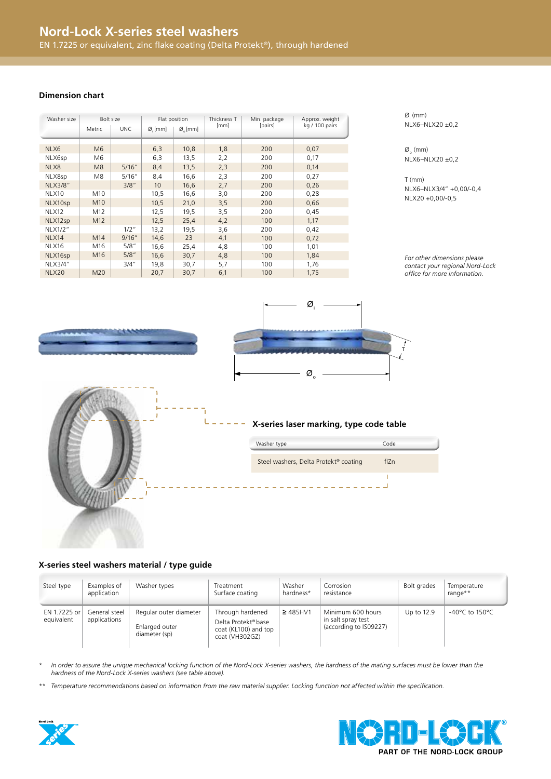### **Dimension chart**

| Washer size    | Bolt size      |         | Flat position      |                    | Thickness T | Min. package | Approx. weight |
|----------------|----------------|---------|--------------------|--------------------|-------------|--------------|----------------|
|                | Metric         | UNC.    | $\varnothing$ [mm] | $\varnothing$ [mm] | [mm]        | [pairs]      | kg / 100 pairs |
|                |                |         |                    |                    |             |              |                |
| NLX6           | M <sub>6</sub> |         | 6,3                | 10,8               | 1,8         | 200          | 0,07           |
| NLX6sp         | M6             |         | 6,3                | 13,5               | 2,2         | 200          | 0,17           |
| NLX8           | M <sub>8</sub> | 5/16"   | 8,4                | 13,5               | 2,3         | 200          | 0,14           |
| NLX8sp         | M8             | 5/16"   | 8,4                | 16,6               | 2,3         | 200          | 0,27           |
| <b>NLX3/8"</b> |                | 3/8"    | 10                 | 16,6               | 2,7         | 200          | 0,26           |
| NLX10          | M10            |         | 10,5               | 16,6               | 3,0         | 200          | 0,28           |
| NLX10sp        | M10            |         | 10,5               | 21,0               | 3,5         | 200          | 0,66           |
| NLX12          | M12            |         | 12,5               | 19,5               | 3,5         | 200          | 0,45           |
| NLX12sp        | M12            |         | 12,5               | 25,4               | 4,2         | 100          | 1,17           |
| NLX1/2"        |                | $1/2$ " | 13,2               | 19,5               | 3,6         | 200          | 0,42           |
| NLX14          | M14            | 9/16"   | 14,6               | 23                 | 4,1         | 100          | 0,72           |
| NLX16          | M16            | 5/8"    | 16,6               | 25,4               | 4,8         | 100          | 1,01           |
| NLX16sp        | M16            | 5/8"    | 16,6               | 30,7               | 4,8         | 100          | 1,84           |
| NLX3/4"        |                | 3/4''   | 19,8               | 30,7               | 5,7         | 100          | 1,76           |
| <b>NLX20</b>   | M20            |         | 20,7               | 30,7               | 6,1         | 100          | 1,75           |

 $Ø.$  (mm) NLX6-NLX20 ±0,2

 $\emptyset_{_{\mathrm{o}}}$  (mm)  $NIX6-NLX20 \pm 0.2$ 

T (mm) NLX6 – NLX3/4" +0,00/-0,4 NLX20 +0,00/-0,5

*For other dimensions please contact your regional Nord-Lock office for more information.* 

T



**X-series laser marking, type code table**

 $\varnothing$ 

 $\varnothing$ 

| Washer type                           | Code |  |
|---------------------------------------|------|--|
| Steel washers, Delta Protekt® coating | flZn |  |
|                                       |      |  |

## **X-series steel washers material / type guide**

| Steel type                 | Examples of<br>application    | Washer types                                              | Treatment<br>Surface coating                                                                  | Washer<br>hardness* | Corrosion<br>resistance                                           | Bolt grades | Temperature<br>range**               |
|----------------------------|-------------------------------|-----------------------------------------------------------|-----------------------------------------------------------------------------------------------|---------------------|-------------------------------------------------------------------|-------------|--------------------------------------|
| EN 1.7225 or<br>equivalent | General steel<br>applications | Regular outer diameter<br>Enlarged outer<br>diameter (sp) | Through hardened<br>Delta Protekt <sup>®</sup> base<br>coat (KL100) and top<br>coat (VH302GZ) | $\geq$ 485HV1       | Minimum 600 hours<br>in salt spray test<br>(according to IS09227) | Up to 12.9  | -40 $^{\circ}$ C to 150 $^{\circ}$ C |

*\* In order to assure the unique mechanical locking function of the Nord-Lock X-series washers, the hardness of the mating surfaces must be lower than the hardness of the Nord-Lock X-series washers (see table above).*

*\*\* Temperature recommendations based on information from the raw material supplier. Locking function not affected within the specification.*